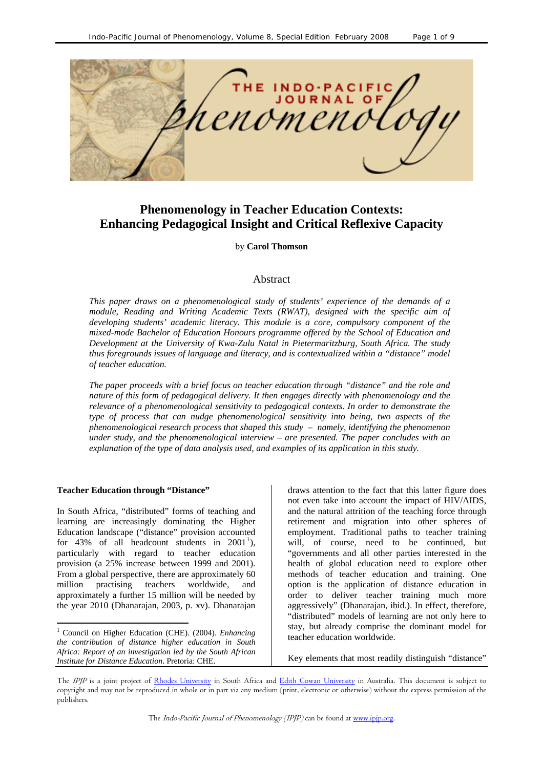

# **Phenomenology in Teacher Education Contexts: Enhancing Pedagogical Insight and Critical Reflexive Capacity**

by **Carol Thomson** 

### Abstract

*This paper draws on a phenomenological study of students' experience of the demands of a module, Reading and Writing Academic Texts (RWAT), designed with the specific aim of developing students' academic literacy. This module is a core, compulsory component of the mixed-mode Bachelor of Education Honours programme offered by the School of Education and Development at the University of Kwa-Zulu Natal in Pietermaritzburg, South Africa. The study thus foregrounds issues of language and literacy, and is contextualized within a "distance" model of teacher education.* 

*The paper proceeds with a brief focus on teacher education through "distance" and the role and nature of this form of pedagogical delivery. It then engages directly with phenomenology and the relevance of a phenomenological sensitivity to pedagogical contexts. In order to demonstrate the type of process that can nudge phenomenological sensitivity into being, two aspects of the phenomenological research process that shaped this study – namely, identifying the phenomenon under study, and the phenomenological interview – are presented. The paper concludes with an explanation of the type of data analysis used, and examples of its application in this study.* 

#### **Teacher Education through "Distance"**

In South Africa, "distributed" forms of teaching and learning are increasingly dominating the Higher Education landscape ("distance" provision accounted for 43% of all headcount students in  $2001^1$  $2001^1$  $2001^1$ ), particularly with regard to teacher education provision (a 25% increase between 1999 and 2001). From a global perspective, there are approximately 60 million practising teachers worldwide, and approximately a further 15 million will be needed by the year 2010 (Dhanarajan, 2003, p. xv). Dhanarajan

<span id="page-0-0"></span> $\overline{a}$ <sup>1</sup> Council on Higher Education (CHE). (2004). *Enhancing the contribution of distance higher education in South Africa: Report of an investigation led by the South African Institute for Distance Education*. Pretoria: CHE.

draws attention to the fact that this latter figure does not even take into account the impact of HIV/AIDS, and the natural attrition of the teaching force through retirement and migration into other spheres of employment. Traditional paths to teacher training will, of course, need to be continued, but "governments and all other parties interested in the health of global education need to explore other methods of teacher education and training. One option is the application of distance education in order to deliver teacher training much more aggressively" (Dhanarajan, ibid.). In effect, therefore, "distributed" models of learning are not only here to stay, but already comprise the dominant model for teacher education worldwide.

Key elements that most readily distinguish "distance"

The IPJP is a joint project of Rhodes University in South Africa and Edith Cowan University in Australia. This document is subject to copyright and may not be reproduced in whole or in part via any medium (print, electronic or otherwise) without the express permission of the publishers.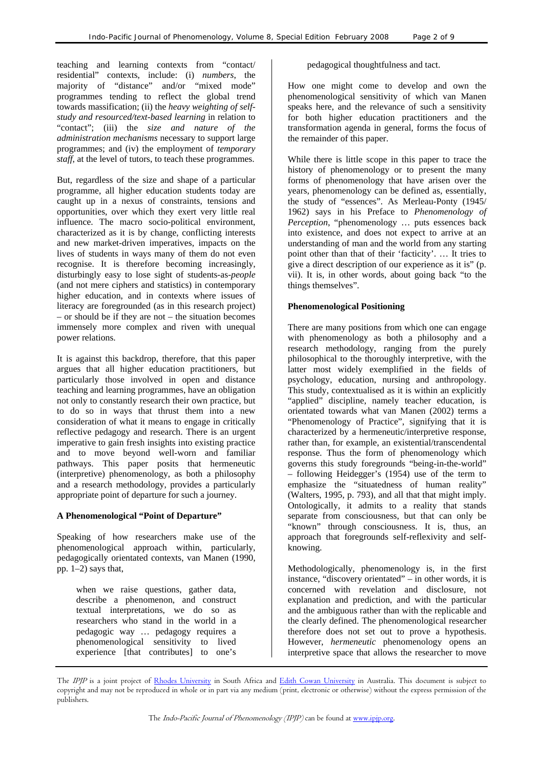teaching and learning contexts from "contact/ residential" contexts, include: (i) *numbers*, the majority of "distance" and/or "mixed mode" programmes tending to reflect the global trend towards massification; (ii) the *heavy weighting of selfstudy and resourced/text-based learning* in relation to "contact"; (iii) the *size and nature of the administration mechanisms* necessary to support large programmes; and (iv) the employment of *temporary staff*, at the level of tutors, to teach these programmes.

But, regardless of the size and shape of a particular programme, all higher education students today are caught up in a nexus of constraints, tensions and opportunities, over which they exert very little real influence. The macro socio-political environment, characterized as it is by change, conflicting interests and new market-driven imperatives, impacts on the lives of students in ways many of them do not even recognise. It is therefore becoming increasingly, disturbingly easy to lose sight of students-as-*people* (and not mere ciphers and statistics) in contemporary higher education, and in contexts where issues of literacy are foregrounded (as in this research project) – or should be if they are not – the situation becomes immensely more complex and riven with unequal power relations.

It is against this backdrop, therefore, that this paper argues that all higher education practitioners, but particularly those involved in open and distance teaching and learning programmes, have an obligation not only to constantly research their own practice, but to do so in ways that thrust them into a new consideration of what it means to engage in critically reflective pedagogy and research. There is an urgent imperative to gain fresh insights into existing practice and to move beyond well-worn and familiar pathways. This paper posits that hermeneutic (interpretive) phenomenology, as both a philosophy and a research methodology, provides a particularly appropriate point of departure for such a journey.

# **A Phenomenological "Point of Departure"**

Speaking of how researchers make use of the phenomenological approach within, particularly, pedagogically orientated contexts, van Manen (1990, pp. 1–2) says that,

when we raise questions, gather data, describe a phenomenon, and construct textual interpretations, we do so as researchers who stand in the world in a pedagogic way … pedagogy requires a phenomenological sensitivity to lived experience [that contributes] to one's

### pedagogical thoughtfulness and tact.

How one might come to develop and own the phenomenological sensitivity of which van Manen speaks here, and the relevance of such a sensitivity for both higher education practitioners and the transformation agenda in general, forms the focus of the remainder of this paper.

While there is little scope in this paper to trace the history of phenomenology or to present the many forms of phenomenology that have arisen over the years, phenomenology can be defined as, essentially, the study of "essences". As Merleau-Ponty (1945/ 1962) says in his Preface to *Phenomenology of Perception*, "phenomenology … puts essences back into existence, and does not expect to arrive at an understanding of man and the world from any starting point other than that of their 'facticity'. … It tries to give a direct description of our experience as it is" (p. vii). It is, in other words, about going back "to the things themselves".

### **Phenomenological Positioning**

There are many positions from which one can engage with phenomenology as both a philosophy and a research methodology, ranging from the purely philosophical to the thoroughly interpretive, with the latter most widely exemplified in the fields of psychology, education, nursing and anthropology. This study, contextualised as it is within an explicitly "applied" discipline, namely teacher education, is orientated towards what van Manen (2002) terms a "Phenomenology of Practice", signifying that it is characterized by a hermeneutic/interpretive response, rather than, for example, an existential/transcendental response. Thus the form of phenomenology which governs this study foregrounds "being-in-the-world" – following Heidegger's (1954) use of the term to emphasize the "situatedness of human reality" (Walters, 1995, p. 793), and all that that might imply. Ontologically, it admits to a reality that stands separate from consciousness, but that can only be "known" through consciousness. It is, thus, an approach that foregrounds self-reflexivity and selfknowing.

Methodologically, phenomenology is, in the first instance, "discovery orientated" – in other words, it is concerned with revelation and disclosure, not explanation and prediction, and with the particular and the ambiguous rather than with the replicable and the clearly defined. The phenomenological researcher therefore does not set out to prove a hypothesis. However, *hermeneutic* phenomenology opens an interpretive space that allows the researcher to move

The IPJP is a joint project of Rhodes University in South Africa and Edith Cowan University in Australia. This document is subject to copyright and may not be reproduced in whole or in part via any medium (print, electronic or otherwise) without the express permission of the publishers.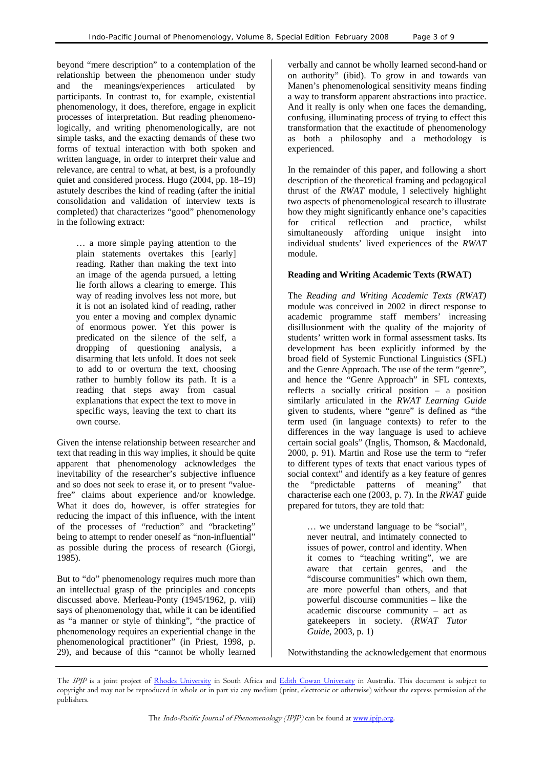beyond "mere description" to a contemplation of the relationship between the phenomenon under study and the meanings/experiences articulated by participants. In contrast to, for example, existential phenomenology, it does, therefore, engage in explicit processes of interpretation. But reading phenomenologically, and writing phenomenologically, are not simple tasks, and the exacting demands of these two forms of textual interaction with both spoken and written language, in order to interpret their value and relevance, are central to what, at best, is a profoundly quiet and considered process. Hugo (2004, pp. 18–19) astutely describes the kind of reading (after the initial consolidation and validation of interview texts is completed) that characterizes "good" phenomenology in the following extract:

… a more simple paying attention to the plain statements overtakes this [early] reading. Rather than making the text into an image of the agenda pursued, a letting lie forth allows a clearing to emerge. This way of reading involves less not more, but it is not an isolated kind of reading, rather you enter a moving and complex dynamic of enormous power. Yet this power is predicated on the silence of the self, a dropping of questioning analysis, a disarming that lets unfold. It does not seek to add to or overturn the text, choosing rather to humbly follow its path. It is a reading that steps away from casual explanations that expect the text to move in specific ways, leaving the text to chart its own course.

Given the intense relationship between researcher and text that reading in this way implies, it should be quite apparent that phenomenology acknowledges the inevitability of the researcher's subjective influence and so does not seek to erase it, or to present "valuefree" claims about experience and/or knowledge. What it does do, however, is offer strategies for reducing the impact of this influence, with the intent of the processes of "reduction" and "bracketing" being to attempt to render oneself as "non-influential" as possible during the process of research (Giorgi, 1985).

But to "do" phenomenology requires much more than an intellectual grasp of the principles and concepts discussed above. Merleau-Ponty (1945/1962, p. viii) says of phenomenology that, while it can be identified as "a manner or style of thinking", "the practice of phenomenology requires an experiential change in the phenomenological practitioner" (in Priest, 1998, p. 29), and because of this "cannot be wholly learned verbally and cannot be wholly learned second-hand or on authority" (ibid). To grow in and towards van Manen's phenomenological sensitivity means finding a way to transform apparent abstractions into practice. And it really is only when one faces the demanding, confusing, illuminating process of trying to effect this transformation that the exactitude of phenomenology as both a philosophy and a methodology is experienced.

In the remainder of this paper, and following a short description of the theoretical framing and pedagogical thrust of the *RWAT* module, I selectively highlight two aspects of phenomenological research to illustrate how they might significantly enhance one's capacities for critical reflection and practice, whilst simultaneously affording unique insight into individual students' lived experiences of the *RWAT* module.

# **Reading and Writing Academic Texts (RWAT)**

The *Reading and Writing Academic Texts (RWAT)* module was conceived in 2002 in direct response to academic programme staff members' increasing disillusionment with the quality of the majority of students' written work in formal assessment tasks. Its development has been explicitly informed by the broad field of Systemic Functional Linguistics (SFL) and the Genre Approach. The use of the term "genre", and hence the "Genre Approach" in SFL contexts, reflects a socially critical position – a position similarly articulated in the *RWAT Learning Guide* given to students, where "genre" is defined as "the term used (in language contexts) to refer to the differences in the way language is used to achieve certain social goals" (Inglis, Thomson, & Macdonald, 2000, p. 91). Martin and Rose use the term to "refer to different types of texts that enact various types of social context" and identify as a key feature of genres the "predictable patterns of meaning" that characterise each one (2003, p. 7). In the *RWAT* guide prepared for tutors, they are told that:

… we understand language to be "social", never neutral, and intimately connected to issues of power, control and identity. When it comes to "teaching writing", we are aware that certain genres, and the "discourse communities" which own them, are more powerful than others, and that powerful discourse communities – like the academic discourse community – act as gatekeepers in society. (*RWAT Tutor Guide*, 2003, p. 1)

Notwithstanding the acknowledgement that enormous

The IPJP is a joint project of Rhodes University in South Africa and Edith Cowan University in Australia. This document is subject to copyright and may not be reproduced in whole or in part via any medium (print, electronic or otherwise) without the express permission of the publishers.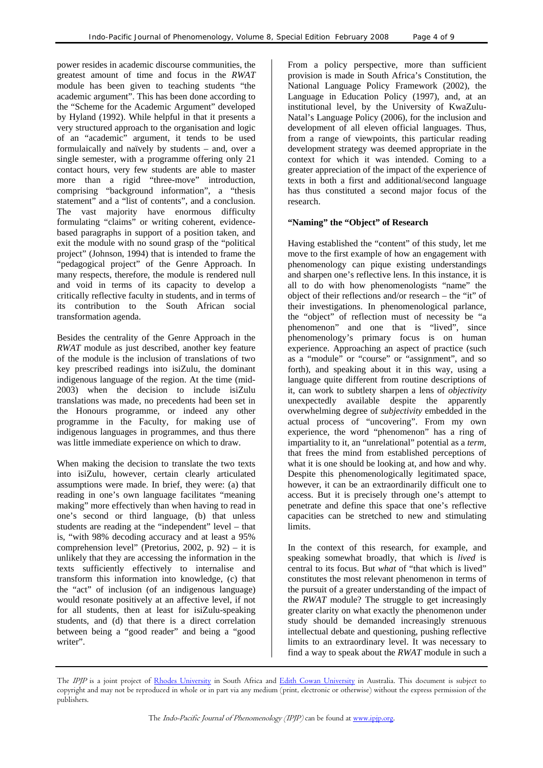power resides in academic discourse communities, the greatest amount of time and focus in the *RWAT* module has been given to teaching students "the academic argument". This has been done according to the "Scheme for the Academic Argument" developed by Hyland (1992). While helpful in that it presents a very structured approach to the organisation and logic of an "academic" argument, it tends to be used formulaically and naïvely by students – and, over a single semester, with a programme offering only 21 contact hours, very few students are able to master more than a rigid "three-move" introduction, comprising "background information", a "thesis statement" and a "list of contents", and a conclusion. The vast majority have enormous difficulty formulating "claims" or writing coherent, evidencebased paragraphs in support of a position taken, and exit the module with no sound grasp of the "political project" (Johnson, 1994) that is intended to frame the "pedagogical project" of the Genre Approach. In many respects, therefore, the module is rendered null and void in terms of its capacity to develop a critically reflective faculty in students, and in terms of its contribution to the South African social transformation agenda.

Besides the centrality of the Genre Approach in the *RWAT* module as just described, another key feature of the module is the inclusion of translations of two key prescribed readings into isiZulu, the dominant indigenous language of the region. At the time (mid-2003) when the decision to include isiZulu translations was made, no precedents had been set in the Honours programme, or indeed any other programme in the Faculty, for making use of indigenous languages in programmes, and thus there was little immediate experience on which to draw.

When making the decision to translate the two texts into isiZulu, however, certain clearly articulated assumptions were made. In brief, they were: (a) that reading in one's own language facilitates "meaning making" more effectively than when having to read in one's second or third language, (b) that unless students are reading at the "independent" level – that is, "with 98% decoding accuracy and at least a 95% comprehension level" (Pretorius, 2002, p. 92) – it is unlikely that they are accessing the information in the texts sufficiently effectively to internalise and transform this information into knowledge, (c) that the "act" of inclusion (of an indigenous language) would resonate positively at an affective level, if not for all students, then at least for isiZulu-speaking students, and (d) that there is a direct correlation between being a "good reader" and being a "good writer".

From a policy perspective, more than sufficient provision is made in South Africa's Constitution, the National Language Policy Framework (2002), the Language in Education Policy (1997), and, at an institutional level, by the University of KwaZulu-Natal's Language Policy (2006), for the inclusion and development of all eleven official languages. Thus, from a range of viewpoints, this particular reading development strategy was deemed appropriate in the context for which it was intended. Coming to a greater appreciation of the impact of the experience of texts in both a first and additional/second language has thus constituted a second major focus of the research.

### **"Naming" the "Object" of Research**

Having established the "content" of this study, let me move to the first example of how an engagement with phenomenology can pique existing understandings and sharpen one's reflective lens. In this instance, it is all to do with how phenomenologists "name" the object of their reflections and/or research – the "it" of their investigations. In phenomenological parlance, the "object" of reflection must of necessity be "a phenomenon" and one that is "lived", since phenomenology's primary focus is on human experience. Approaching an aspect of practice (such as a "module" or "course" or "assignment", and so forth), and speaking about it in this way, using a language quite different from routine descriptions of it, can work to subtlety sharpen a lens of *objectivity*  unexpectedly available despite the apparently overwhelming degree of *subjectivity* embedded in the actual process of "uncovering". From my own experience, the word "phenomenon" has a ring of impartiality to it, an "unrelational" potential as a *term*, that frees the mind from established perceptions of what it is one should be looking at, and how and why. Despite this phenomenologically legitimated space, however, it can be an extraordinarily difficult one to access. But it is precisely through one's attempt to penetrate and define this space that one's reflective capacities can be stretched to new and stimulating limits.

In the context of this research, for example, and speaking somewhat broadly, that which is *lived* is central to its focus. But *what* of "that which is lived" constitutes the most relevant phenomenon in terms of the pursuit of a greater understanding of the impact of the *RWAT* module? The struggle to get increasingly greater clarity on what exactly the phenomenon under study should be demanded increasingly strenuous intellectual debate and questioning, pushing reflective limits to an extraordinary level. It was necessary to find a way to speak about the *RWAT* module in such a

The IPJP is a joint project of Rhodes University in South Africa and Edith Cowan University in Australia. This document is subject to copyright and may not be reproduced in whole or in part via any medium (print, electronic or otherwise) without the express permission of the publishers.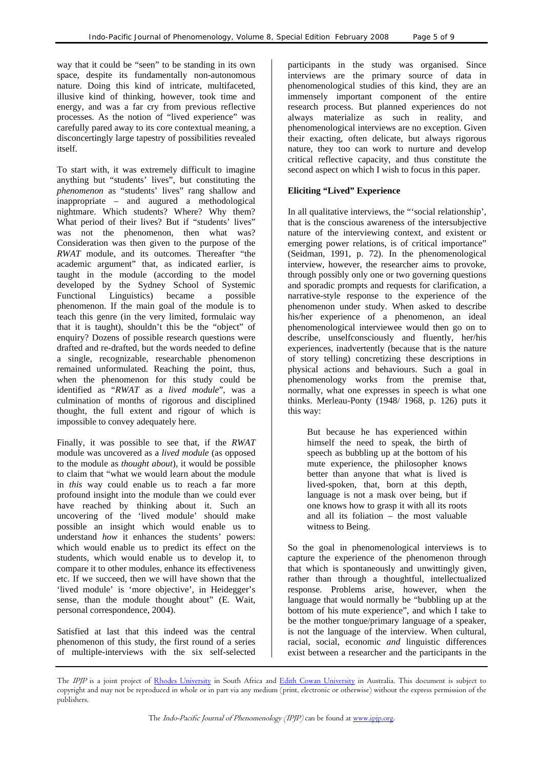way that it could be "seen" to be standing in its own space, despite its fundamentally non-autonomous nature. Doing this kind of intricate, multifaceted, illusive kind of thinking, however, took time and energy, and was a far cry from previous reflective processes. As the notion of "lived experience" was carefully pared away to its core contextual meaning, a disconcertingly large tapestry of possibilities revealed itself.

To start with, it was extremely difficult to imagine anything but "students' lives", but constituting the *phenomenon* as "students' lives" rang shallow and inappropriate – and augured a methodological nightmare. Which students? Where? Why them? What period of their lives? But if "students' lives" was not the phenomenon, then what was? Consideration was then given to the purpose of the *RWAT* module, and its outcomes. Thereafter "the academic argument" that, as indicated earlier, is taught in the module (according to the model developed by the Sydney School of Systemic Functional Linguistics) became a possible phenomenon. If the main goal of the module is to teach this genre (in the very limited, formulaic way that it is taught), shouldn't this be the "object" of enquiry? Dozens of possible research questions were drafted and re-drafted, but the words needed to define a single, recognizable, researchable phenomenon remained unformulated. Reaching the point, thus, when the phenomenon for this study could be identified as "*RWAT* as a *lived module*", was a culmination of months of rigorous and disciplined thought, the full extent and rigour of which is impossible to convey adequately here.

Finally, it was possible to see that, if the *RWAT* module was uncovered as a *lived module* (as opposed to the module as *thought about*), it would be possible to claim that "what we would learn about the module in *this* way could enable us to reach a far more profound insight into the module than we could ever have reached by thinking about it. Such an uncovering of the 'lived module' should make possible an insight which would enable us to understand *how* it enhances the students' powers: which would enable us to predict its effect on the students, which would enable us to develop it, to compare it to other modules, enhance its effectiveness etc. If we succeed, then we will have shown that the 'lived module' is 'more objective', in Heidegger's sense, than the module thought about" (E. Wait, personal correspondence, 2004).

Satisfied at last that this indeed was the central phenomenon of this study, the first round of a series of multiple-interviews with the six self-selected participants in the study was organised. Since interviews are the primary source of data in phenomenological studies of this kind, they are an immensely important component of the entire research process. But planned experiences do not always materialize as such in reality, and phenomenological interviews are no exception. Given their exacting, often delicate, but always rigorous nature, they too can work to nurture and develop critical reflective capacity, and thus constitute the second aspect on which I wish to focus in this paper.

### **Eliciting "Lived" Experience**

In all qualitative interviews, the "'social relationship', that is the conscious awareness of the intersubjective nature of the interviewing context, and existent or emerging power relations, is of critical importance" (Seidman, 1991, p. 72). In the phenomenological interview, however, the researcher aims to provoke, through possibly only one or two governing questions and sporadic prompts and requests for clarification, a narrative-style response to the experience of the phenomenon under study. When asked to describe his/her experience of a phenomenon, an ideal phenomenological interviewee would then go on to describe, unselfconsciously and fluently, her/his experiences, inadvertently (because that is the nature of story telling) concretizing these descriptions in physical actions and behaviours. Such a goal in phenomenology works from the premise that, normally, what one expresses in speech is what one thinks. Merleau-Ponty (1948/ 1968, p. 126) puts it this way:

But because he has experienced within himself the need to speak, the birth of speech as bubbling up at the bottom of his mute experience, the philosopher knows better than anyone that what is lived is lived-spoken, that, born at this depth, language is not a mask over being, but if one knows how to grasp it with all its roots and all its foliation – the most valuable witness to Being.

So the goal in phenomenological interviews is to capture the experience of the phenomenon through that which is spontaneously and unwittingly given, rather than through a thoughtful, intellectualized response. Problems arise, however, when the language that would normally be "bubbling up at the bottom of his mute experience", and which I take to be the mother tongue/primary language of a speaker, is not the language of the interview. When cultural, racial, social, economic *and* linguistic differences exist between a researcher and the participants in the

The IPJP is a joint project of Rhodes University in South Africa and Edith Cowan University in Australia. This document is subject to copyright and may not be reproduced in whole or in part via any medium (print, electronic or otherwise) without the express permission of the publishers.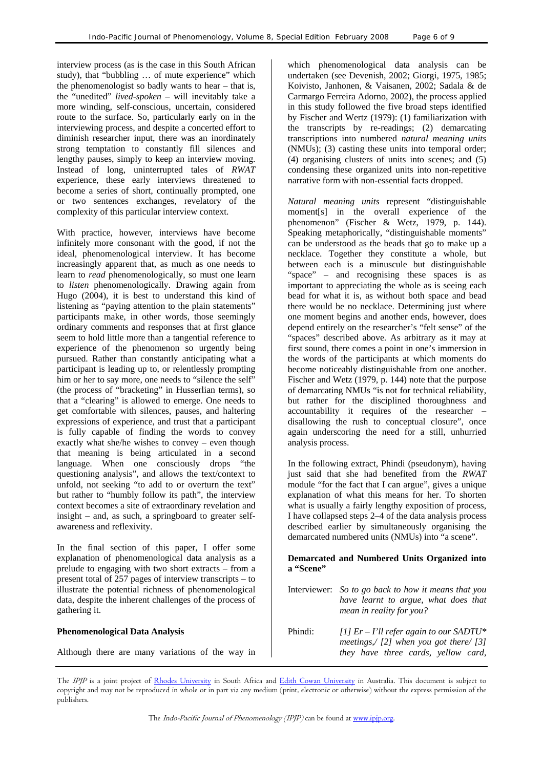interview process (as is the case in this South African study), that "bubbling … of mute experience" which the phenomenologist so badly wants to hear – that is, the "unedited" *lived-spoken* – will inevitably take a more winding, self-conscious, uncertain, considered route to the surface. So, particularly early on in the interviewing process, and despite a concerted effort to diminish researcher input, there was an inordinately strong temptation to constantly fill silences and lengthy pauses, simply to keep an interview moving. Instead of long, uninterrupted tales of *RWAT* experience, these early interviews threatened to become a series of short, continually prompted, one or two sentences exchanges, revelatory of the complexity of this particular interview context.

With practice, however, interviews have become infinitely more consonant with the good, if not the ideal, phenomenological interview. It has become increasingly apparent that, as much as one needs to learn to *read* phenomenologically, so must one learn to *listen* phenomenologically. Drawing again from Hugo (2004), it is best to understand this kind of listening as "paying attention to the plain statements" participants make, in other words, those seemingly ordinary comments and responses that at first glance seem to hold little more than a tangential reference to experience of the phenomenon so urgently being pursued. Rather than constantly anticipating what a participant is leading up to, or relentlessly prompting him or her to say more, one needs to "silence the self" (the process of "bracketing" in Husserlian terms), so that a "clearing" is allowed to emerge. One needs to get comfortable with silences, pauses, and haltering expressions of experience, and trust that a participant is fully capable of finding the words to convey exactly what she/he wishes to convey – even though that meaning is being articulated in a second language. When one consciously drops "the questioning analysis", and allows the text/context to unfold, not seeking "to add to or overturn the text" but rather to "humbly follow its path", the interview context becomes a site of extraordinary revelation and insight – and, as such, a springboard to greater selfawareness and reflexivity.

In the final section of this paper, I offer some explanation of phenomenological data analysis as a prelude to engaging with two short extracts – from a present total of 257 pages of interview transcripts – to illustrate the potential richness of phenomenological data, despite the inherent challenges of the process of gathering it.

# **Phenomenological Data Analysis**

Although there are many variations of the way in

which phenomenological data analysis can be undertaken (see Devenish, 2002; Giorgi, 1975, 1985; Koivisto, Janhonen, & Vaisanen, 2002; Sadala & de Carmargo Ferreira Adorno, 2002), the process applied in this study followed the five broad steps identified by Fischer and Wertz (1979): (1) familiarization with the transcripts by re-readings; (2) demarcating transcriptions into numbered *natural meaning units* (NMUs); (3) casting these units into temporal order; (4) organising clusters of units into scenes; and (5) condensing these organized units into non-repetitive narrative form with non-essential facts dropped.

*Natural meaning units* represent "distinguishable moment[s] in the overall experience of the phenomenon" (Fischer & Wetz, 1979, p. 144). Speaking metaphorically, "distinguishable moments" can be understood as the beads that go to make up a necklace. Together they constitute a whole, but between each is a minuscule but distinguishable "space" – and recognising these spaces is as important to appreciating the whole as is seeing each bead for what it is, as without both space and bead there would be no necklace. Determining just where one moment begins and another ends, however, does depend entirely on the researcher's "felt sense" of the "spaces" described above. As arbitrary as it may at first sound, there comes a point in one's immersion in the words of the participants at which moments do become noticeably distinguishable from one another. Fischer and Wetz (1979, p. 144) note that the purpose of demarcating NMUs "is not for technical reliability, but rather for the disciplined thoroughness and accountability it requires of the researcher – disallowing the rush to conceptual closure", once again underscoring the need for a still, unhurried analysis process.

In the following extract, Phindi (pseudonym), having just said that she had benefited from the *RWAT* module "for the fact that I can argue", gives a unique explanation of what this means for her. To shorten what is usually a fairly lengthy exposition of process, I have collapsed steps 2–4 of the data analysis process described earlier by simultaneously organising the demarcated numbered units (NMUs) into "a scene".

### **Demarcated and Numbered Units Organized into a "Scene"**

|         | Interviewer: So to go back to how it means that you<br>have learnt to argue, what does that<br>mean in reality for you?      |
|---------|------------------------------------------------------------------------------------------------------------------------------|
| Phindi: | [1] $Er - I'll$ refer again to our SADTU*<br>meetings, $[2]$ when you got there $[3]$<br>they have three cards, yellow card, |

The IPJP is a joint project of Rhodes University in South Africa and Edith Cowan University in Australia. This document is subject to copyright and may not be reproduced in whole or in part via any medium (print, electronic or otherwise) without the express permission of the publishers.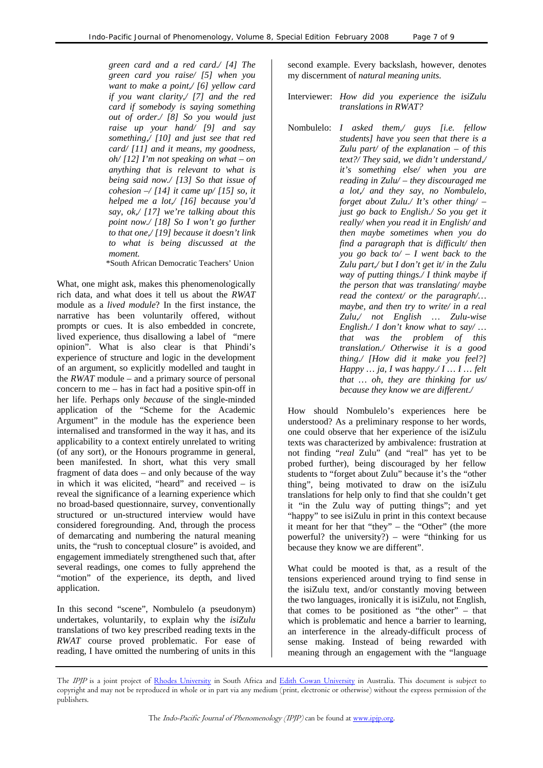*green card and a red card./ [4] The green card you raise/ [5] when you want to make a point,/ [6] yellow card if you want clarity,/ [7] and the red card if somebody is saying something out of order./ [8] So you would just raise up your hand/ [9] and say something,/ [10] and just see that red card/ [11] and it means, my goodness, oh/ [12] I'm not speaking on what – on anything that is relevant to what is being said now./ [13] So that issue of cohesion –/ [14] it came up/ [15] so, it helped me a lot,/ [16] because you'd say, ok,/ [17] we're talking about this point now./ [18] So I won't go further to that one,/ [19] because it doesn't link to what is being discussed at the moment.* 

\*South African Democratic Teachers' Union

What, one might ask, makes this phenomenologically rich data, and what does it tell us about the *RWAT* module as a *lived module*? In the first instance, the narrative has been voluntarily offered, without prompts or cues. It is also embedded in concrete, lived experience, thus disallowing a label of "mere opinion". What is also clear is that Phindi's experience of structure and logic in the development of an argument, so explicitly modelled and taught in the *RWAT* module – and a primary source of personal concern to me – has in fact had a positive spin-off in her life. Perhaps only *because* of the single-minded application of the "Scheme for the Academic Argument" in the module has the experience been internalised and transformed in the way it has, and its applicability to a context entirely unrelated to writing (of any sort), or the Honours programme in general, been manifested. In short, what this very small fragment of data does – and only because of the way in which it was elicited, "heard" and received – is reveal the significance of a learning experience which no broad-based questionnaire, survey, conventionally structured or un-structured interview would have considered foregrounding. And, through the process of demarcating and numbering the natural meaning units, the "rush to conceptual closure" is avoided, and engagement immediately strengthened such that, after several readings, one comes to fully apprehend the "motion" of the experience, its depth, and lived application.

In this second "scene", Nombulelo (a pseudonym) undertakes, voluntarily, to explain why the *isiZulu* translations of two key prescribed reading texts in the *RWAT* course proved problematic. For ease of reading, I have omitted the numbering of units in this

second example. Every backslash, however, denotes my discernment of *natural meaning units.* 

Interviewer: *How did you experience the isiZulu translations in RWAT?* 

Nombulelo: *I asked them,/ guys [i.e. fellow students] have you seen that there is a Zulu part/ of the explanation – of this text?/ They said, we didn't understand,/ it's something else/ when you are reading in Zulu/ – they discouraged me a lot,/ and they say, no Nombulelo, forget about Zulu./ It's other thing/ – just go back to English./ So you get it really/ when you read it in English/ and then maybe sometimes when you do find a paragraph that is difficult/ then you go back to/ – I went back to the Zulu part,/ but I don't get it/ in the Zulu way of putting things./ I think maybe if the person that was translating/ maybe read the context/ or the paragraph/… maybe, and then try to write/ in a real Zulu,/ not English … Zulu-wise English./ I don't know what to say/ … that was the problem of this translation./ Otherwise it is a good thing./ [How did it make you feel?] Happy … ja, I was happy./ I … I … felt that … oh, they are thinking for us/ because they know we are different./* 

How should Nombulelo's experiences here be understood? As a preliminary response to her words, one could observe that her experience of the isiZulu texts was characterized by ambivalence: frustration at not finding "*real* Zulu" (and "real" has yet to be probed further), being discouraged by her fellow students to "forget about Zulu" because it's the "other thing", being motivated to draw on the isiZulu translations for help only to find that she couldn't get it "in the Zulu way of putting things"; and yet "happy" to see isiZulu in print in this context because it meant for her that "they" – the "Other" (the more powerful? the university?) – were "thinking for us because they know we are different".

What could be mooted is that, as a result of the tensions experienced around trying to find sense in the isiZulu text, and/or constantly moving between the two languages, ironically it is isiZulu, not English, that comes to be positioned as "the other" – that which is problematic and hence a barrier to learning, an interference in the already-difficult process of sense making. Instead of being rewarded with meaning through an engagement with the "language

The IPJP is a joint project of Rhodes University in South Africa and Edith Cowan University in Australia. This document is subject to copyright and may not be reproduced in whole or in part via any medium (print, electronic or otherwise) without the express permission of the publishers.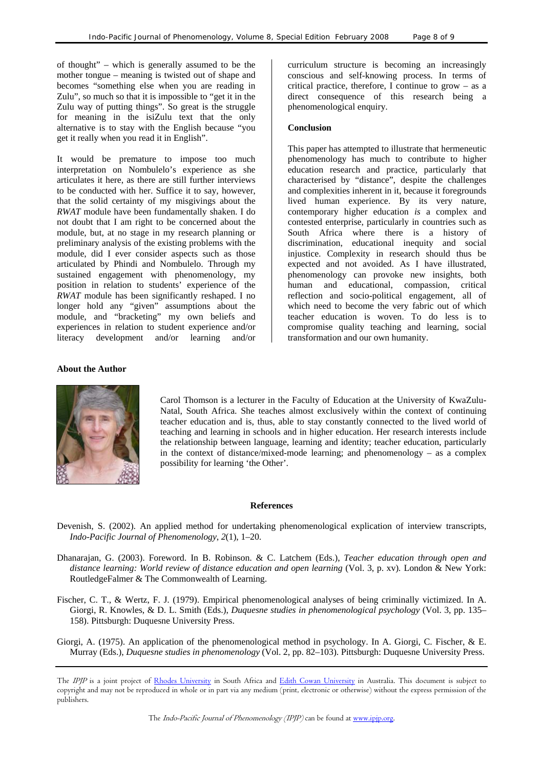of thought" – which is generally assumed to be the mother tongue – meaning is twisted out of shape and becomes "something else when you are reading in Zulu", so much so that it is impossible to "get it in the Zulu way of putting things". So great is the struggle for meaning in the isiZulu text that the only alternative is to stay with the English because "you get it really when you read it in English".

It would be premature to impose too much interpretation on Nombulelo's experience as she articulates it here, as there are still further interviews to be conducted with her. Suffice it to say, however, that the solid certainty of my misgivings about the *RWAT* module have been fundamentally shaken. I do not doubt that I am right to be concerned about the module, but, at no stage in my research planning or preliminary analysis of the existing problems with the module, did I ever consider aspects such as those articulated by Phindi and Nombulelo. Through my sustained engagement with phenomenology, my position in relation to students' experience of the *RWAT* module has been significantly reshaped. I no longer hold any "given" assumptions about the module, and "bracketing" my own beliefs and experiences in relation to student experience and/or literacy development and/or learning and/or

curriculum structure is becoming an increasingly conscious and self-knowing process. In terms of critical practice, therefore, I continue to  $grow - as a$ direct consequence of this research being a phenomenological enquiry.

#### **Conclusion**

This paper has attempted to illustrate that hermeneutic phenomenology has much to contribute to higher education research and practice, particularly that characterised by "distance", despite the challenges and complexities inherent in it, because it foregrounds lived human experience. By its very nature, contemporary higher education *is* a complex and contested enterprise, particularly in countries such as South Africa where there is a history of discrimination, educational inequity and social injustice. Complexity in research should thus be expected and not avoided. As I have illustrated, phenomenology can provoke new insights, both human and educational, compassion, critical reflection and socio-political engagement, all of which need to become the very fabric out of which teacher education is woven. To do less is to compromise quality teaching and learning, social transformation and our own humanity.

### **About the Author**



Carol Thomson is a lecturer in the Faculty of Education at the University of KwaZulu-Natal, South Africa. She teaches almost exclusively within the context of continuing teacher education and is, thus, able to stay constantly connected to the lived world of teaching and learning in schools and in higher education. Her research interests include the relationship between language, learning and identity; teacher education, particularly in the context of distance/mixed-mode learning; and phenomenology – as a complex possibility for learning 'the Other'.

#### **References**

- Devenish, S. (2002). An applied method for undertaking phenomenological explication of interview transcripts, *Indo-Pacific Journal of Phenomenology*, *2*(1), 1–20.
- Dhanarajan, G. (2003). Foreword. In B. Robinson. & C. Latchem (Eds.), *Teacher education through open and distance learning: World review of distance education and open learning* (Vol. 3, p. xv)*.* London & New York: RoutledgeFalmer & The Commonwealth of Learning.
- Fischer, C. T., & Wertz, F. J. (1979). Empirical phenomenological analyses of being criminally victimized. In A. Giorgi, R. Knowles, & D. L. Smith (Eds.), *Duquesne studies in phenomenological psychology* (Vol. 3, pp. 135– 158). Pittsburgh: Duquesne University Press.
- Giorgi, A. (1975). An application of the phenomenological method in psychology. In A. Giorgi, C. Fischer, & E. Murray (Eds.), *Duquesne studies in phenomenology* (Vol. 2, pp. 82–103). Pittsburgh: Duquesne University Press.

The IPJP is a joint project of Rhodes University in South Africa and Edith Cowan University in Australia. This document is subject to copyright and may not be reproduced in whole or in part via any medium (print, electronic or otherwise) without the express permission of the publishers.